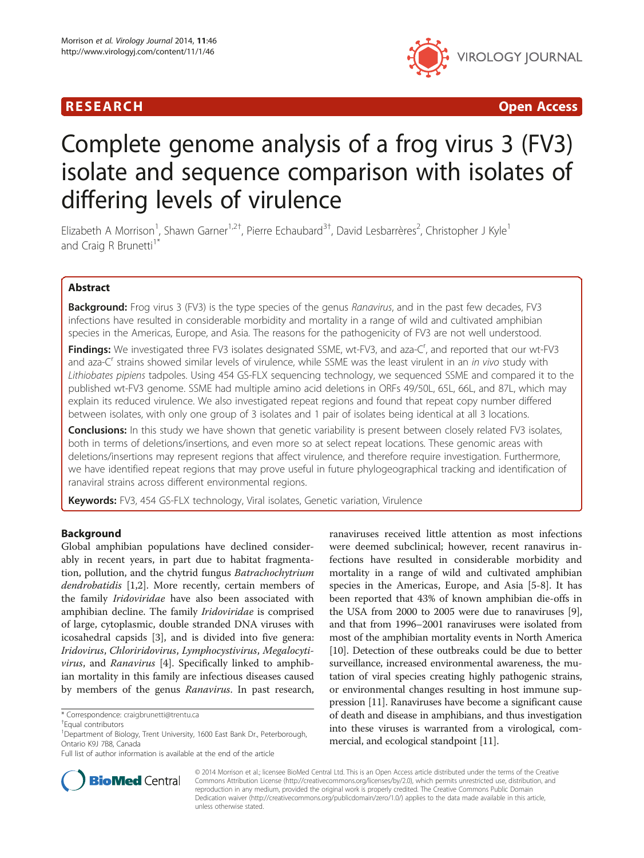

R E S EAR CH Open Access

# Complete genome analysis of a frog virus 3 (FV3) isolate and sequence comparison with isolates of differing levels of virulence

Elizabeth A Morrison<sup>1</sup>, Shawn Garner<sup>1,2†</sup>, Pierre Echaubard<sup>3†</sup>, David Lesbarrères<sup>2</sup>, Christopher J Kyle<sup>1</sup> and Craig R Brunetti<sup>1</sup>

# Abstract

Background: Frog virus 3 (FV3) is the type species of the genus Ranavirus, and in the past few decades, FV3 infections have resulted in considerable morbidity and mortality in a range of wild and cultivated amphibian species in the Americas, Europe, and Asia. The reasons for the pathogenicity of FV3 are not well understood.

Findings: We investigated three FV3 isolates designated SSME, wt-FV3, and aza-C<sup>r</sup>, and reported that our wt-FV3 and aza-C<sup>r</sup> strains showed similar levels of virulence, while SSME was the least virulent in an *in vivo* study with Lithiobates pipiens tadpoles. Using 454 GS-FLX sequencing technology, we sequenced SSME and compared it to the published wt-FV3 genome. SSME had multiple amino acid deletions in ORFs 49/50L, 65L, 66L, and 87L, which may explain its reduced virulence. We also investigated repeat regions and found that repeat copy number differed between isolates, with only one group of 3 isolates and 1 pair of isolates being identical at all 3 locations.

Conclusions: In this study we have shown that genetic variability is present between closely related FV3 isolates, both in terms of deletions/insertions, and even more so at select repeat locations. These genomic areas with deletions/insertions may represent regions that affect virulence, and therefore require investigation. Furthermore, we have identified repeat regions that may prove useful in future phylogeographical tracking and identification of ranaviral strains across different environmental regions.

Keywords: FV3, 454 GS-FLX technology, Viral isolates, Genetic variation, Virulence

# Background

Global amphibian populations have declined considerably in recent years, in part due to habitat fragmentation, pollution, and the chytrid fungus Batrachochytrium dendrobatidis [\[1,2](#page-11-0)]. More recently, certain members of the family Iridoviridae have also been associated with amphibian decline. The family Iridoviridae is comprised of large, cytoplasmic, double stranded DNA viruses with icosahedral capsids [[3\]](#page-11-0), and is divided into five genera: Iridovirus, Chloriridovirus, Lymphocystivirus, Megalocytivirus, and Ranavirus [[4\]](#page-11-0). Specifically linked to amphibian mortality in this family are infectious diseases caused by members of the genus Ranavirus. In past research,

Full list of author information is available at the end of the article





© 2014 Morrison et al.; licensee BioMed Central Ltd. This is an Open Access article distributed under the terms of the Creative Commons Attribution License [\(http://creativecommons.org/licenses/by/2.0\)](http://creativecommons.org/licenses/by/2.0), which permits unrestricted use, distribution, and reproduction in any medium, provided the original work is properly credited. The Creative Commons Public Domain Dedication waiver [\(http://creativecommons.org/publicdomain/zero/1.0/](http://creativecommons.org/publicdomain/zero/1.0/)) applies to the data made available in this article, unless otherwise stated.

<sup>\*</sup> Correspondence: [craigbrunetti@trentu.ca](mailto:craigbrunetti@trentu.ca) †

Equal contributors

<sup>&</sup>lt;sup>1</sup>Department of Biology, Trent University, 1600 East Bank Dr., Peterborough, Ontario K9J 7B8, Canada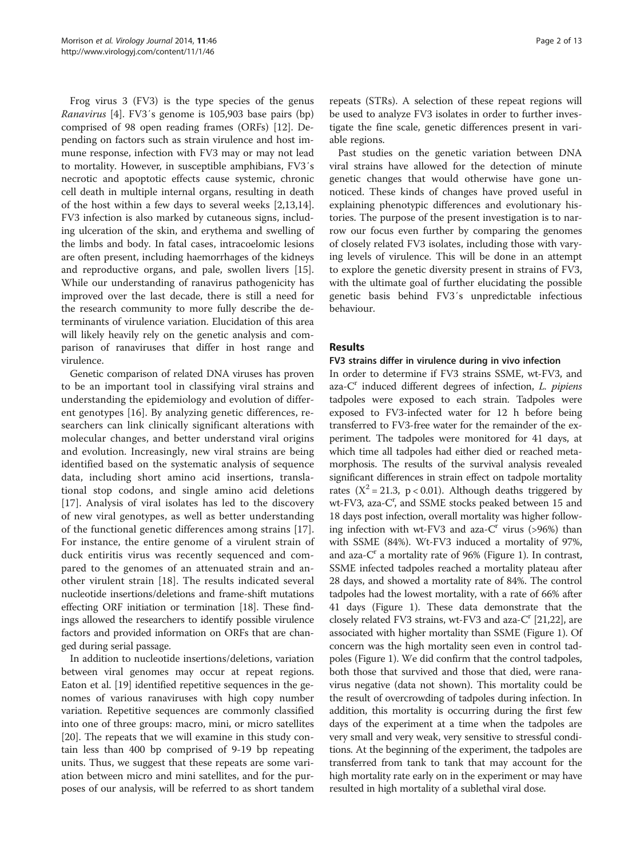Frog virus 3 (FV3) is the type species of the genus Ranavirus [\[4\]](#page-11-0). FV3′s genome is 105,903 base pairs (bp) comprised of 98 open reading frames (ORFs) [\[12\]](#page-11-0). Depending on factors such as strain virulence and host immune response, infection with FV3 may or may not lead to mortality. However, in susceptible amphibians, FV3′s necrotic and apoptotic effects cause systemic, chronic cell death in multiple internal organs, resulting in death of the host within a few days to several weeks [\[2,13,14](#page-11-0)]. FV3 infection is also marked by cutaneous signs, including ulceration of the skin, and erythema and swelling of the limbs and body. In fatal cases, intracoelomic lesions are often present, including haemorrhages of the kidneys and reproductive organs, and pale, swollen livers [\[15](#page-11-0)]. While our understanding of ranavirus pathogenicity has improved over the last decade, there is still a need for the research community to more fully describe the determinants of virulence variation. Elucidation of this area will likely heavily rely on the genetic analysis and comparison of ranaviruses that differ in host range and virulence.

Genetic comparison of related DNA viruses has proven to be an important tool in classifying viral strains and understanding the epidemiology and evolution of different genotypes [[16\]](#page-11-0). By analyzing genetic differences, researchers can link clinically significant alterations with molecular changes, and better understand viral origins and evolution. Increasingly, new viral strains are being identified based on the systematic analysis of sequence data, including short amino acid insertions, translational stop codons, and single amino acid deletions [[17\]](#page-11-0). Analysis of viral isolates has led to the discovery of new viral genotypes, as well as better understanding of the functional genetic differences among strains [\[17](#page-11-0)]. For instance, the entire genome of a virulent strain of duck entiritis virus was recently sequenced and compared to the genomes of an attenuated strain and another virulent strain [[18\]](#page-11-0). The results indicated several nucleotide insertions/deletions and frame-shift mutations effecting ORF initiation or termination [\[18](#page-11-0)]. These findings allowed the researchers to identify possible virulence factors and provided information on ORFs that are changed during serial passage.

In addition to nucleotide insertions/deletions, variation between viral genomes may occur at repeat regions. Eaton et al. [\[19\]](#page-11-0) identified repetitive sequences in the genomes of various ranaviruses with high copy number variation. Repetitive sequences are commonly classified into one of three groups: macro, mini, or micro satellites [[20\]](#page-11-0). The repeats that we will examine in this study contain less than 400 bp comprised of 9-19 bp repeating units. Thus, we suggest that these repeats are some variation between micro and mini satellites, and for the purposes of our analysis, will be referred to as short tandem

repeats (STRs). A selection of these repeat regions will be used to analyze FV3 isolates in order to further investigate the fine scale, genetic differences present in variable regions.

Past studies on the genetic variation between DNA viral strains have allowed for the detection of minute genetic changes that would otherwise have gone unnoticed. These kinds of changes have proved useful in explaining phenotypic differences and evolutionary histories. The purpose of the present investigation is to narrow our focus even further by comparing the genomes of closely related FV3 isolates, including those with varying levels of virulence. This will be done in an attempt to explore the genetic diversity present in strains of FV3, with the ultimate goal of further elucidating the possible genetic basis behind FV3′s unpredictable infectious behaviour.

# Results

#### FV3 strains differ in virulence during in vivo infection

In order to determine if FV3 strains SSME, wt-FV3, and aza- $C<sup>r</sup>$  induced different degrees of infection, *L. pipiens* tadpoles were exposed to each strain. Tadpoles were exposed to FV3-infected water for 12 h before being transferred to FV3-free water for the remainder of the experiment. The tadpoles were monitored for 41 days, at which time all tadpoles had either died or reached metamorphosis. The results of the survival analysis revealed significant differences in strain effect on tadpole mortality rates ( $X^2 = 21.3$ , p < 0.01). Although deaths triggered by wt-FV3, aza-C', and SSME stocks peaked between 15 and 18 days post infection, overall mortality was higher following infection with wt-FV3 and aza- $C<sup>r</sup>$  virus (>96%) than with SSME (84%). Wt-FV3 induced a mortality of 97%, and aza- $C<sup>r</sup>$  a mortality rate of 96% (Figure [1\)](#page-2-0). In contrast, SSME infected tadpoles reached a mortality plateau after 28 days, and showed a mortality rate of 84%. The control tadpoles had the lowest mortality, with a rate of 66% after 41 days (Figure [1](#page-2-0)). These data demonstrate that the closely related FV3 strains, wt-FV3 and aza- $C<sup>r</sup>$  [\[21,22](#page-11-0)], are associated with higher mortality than SSME (Figure [1](#page-2-0)). Of concern was the high mortality seen even in control tadpoles (Figure [1\)](#page-2-0). We did confirm that the control tadpoles, both those that survived and those that died, were ranavirus negative (data not shown). This mortality could be the result of overcrowding of tadpoles during infection. In addition, this mortality is occurring during the first few days of the experiment at a time when the tadpoles are very small and very weak, very sensitive to stressful conditions. At the beginning of the experiment, the tadpoles are transferred from tank to tank that may account for the high mortality rate early on in the experiment or may have resulted in high mortality of a sublethal viral dose.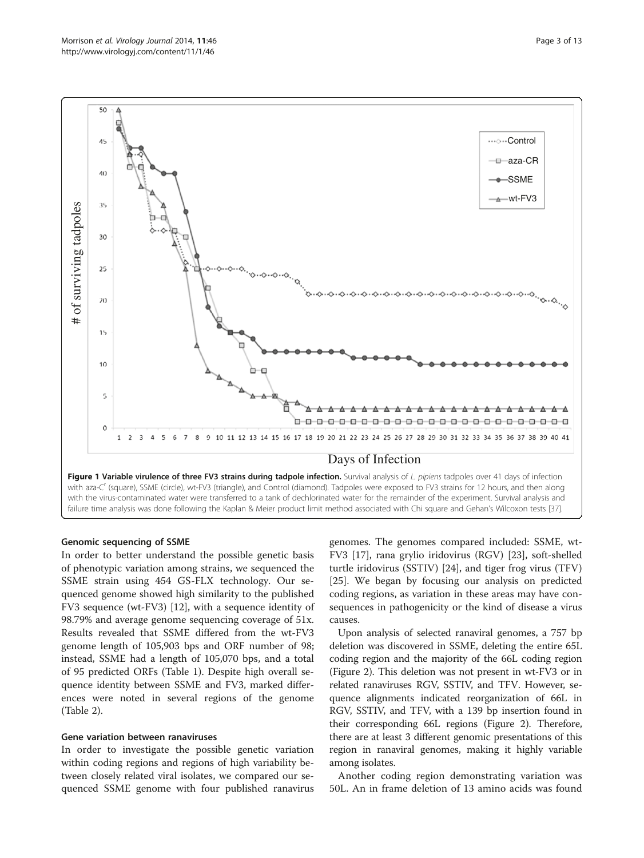<span id="page-2-0"></span>

#### Genomic sequencing of SSME

In order to better understand the possible genetic basis of phenotypic variation among strains, we sequenced the SSME strain using 454 GS-FLX technology. Our sequenced genome showed high similarity to the published FV3 sequence (wt-FV3) [[12\]](#page-11-0), with a sequence identity of 98.79% and average genome sequencing coverage of 51x. Results revealed that SSME differed from the wt-FV3 genome length of 105,903 bps and ORF number of 98; instead, SSME had a length of 105,070 bps, and a total of 95 predicted ORFs (Table [1](#page-3-0)). Despite high overall sequence identity between SSME and FV3, marked differences were noted in several regions of the genome (Table [2\)](#page-5-0).

#### Gene variation between ranaviruses

In order to investigate the possible genetic variation within coding regions and regions of high variability between closely related viral isolates, we compared our sequenced SSME genome with four published ranavirus

genomes. The genomes compared included: SSME, wt-FV3 [[17\]](#page-11-0), rana grylio iridovirus (RGV) [\[23\]](#page-11-0), soft-shelled turtle iridovirus (SSTIV) [\[24\]](#page-11-0), and tiger frog virus (TFV) [[25\]](#page-11-0). We began by focusing our analysis on predicted coding regions, as variation in these areas may have consequences in pathogenicity or the kind of disease a virus causes.

Upon analysis of selected ranaviral genomes, a 757 bp deletion was discovered in SSME, deleting the entire 65L coding region and the majority of the 66L coding region (Figure [2](#page-6-0)). This deletion was not present in wt-FV3 or in related ranaviruses RGV, SSTIV, and TFV. However, sequence alignments indicated reorganization of 66L in RGV, SSTIV, and TFV, with a 139 bp insertion found in their corresponding 66L regions (Figure [2](#page-6-0)). Therefore, there are at least 3 different genomic presentations of this region in ranaviral genomes, making it highly variable among isolates.

Another coding region demonstrating variation was 50L. An in frame deletion of 13 amino acids was found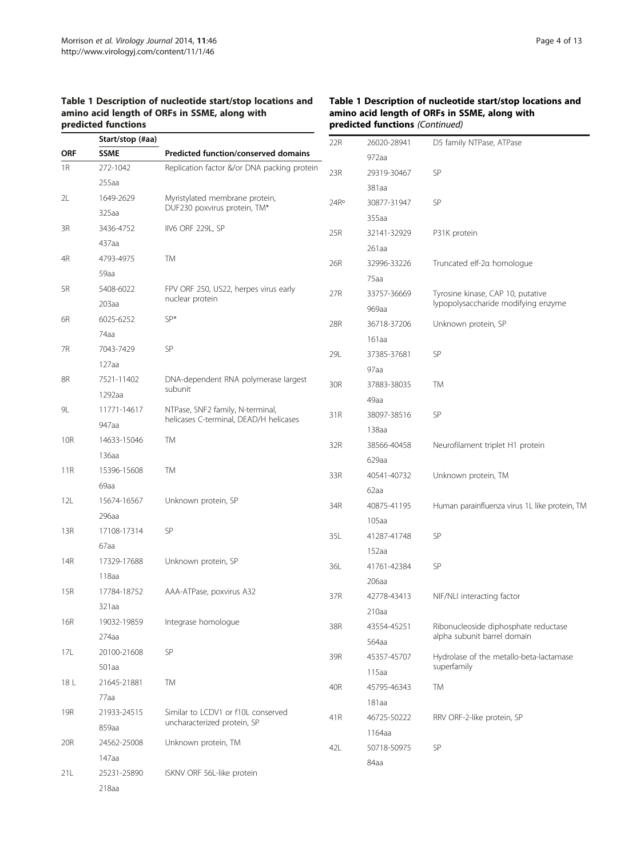<span id="page-3-0"></span>Table 1 Description of nucleotide start/stop locations and amino acid length of ORFs in SSME, along with predicted functions

|            | Start/stop (#aa) |                                             | 22R              | 26020-28941          | D5 family NTPase, ATPase                      |
|------------|------------------|---------------------------------------------|------------------|----------------------|-----------------------------------------------|
| <b>ORF</b> | <b>SSME</b>      | Predicted function/conserved domains        |                  | 972aa                |                                               |
| 1R         | 272-1042         | Replication factor &/or DNA packing protein | 23R              | 29319-30467          | SP                                            |
|            | $255a$ a         |                                             |                  | 381aa                |                                               |
| 2L         | 1649-2629        | Myristylated membrane protein,              | 24R <sup>o</sup> | 30877-31947          | SP                                            |
|            | 325aa            | DUF230 poxvirus protein, TM*                |                  | 355aa                |                                               |
| 3R         | 3436-4752        | IIV6 ORF 229L, SP                           | 25R              | 32141-32929          | P31K protein                                  |
|            | 437aa            |                                             |                  | 261aa                |                                               |
| 4R         | 4793-4975        | TM                                          | 26R              | 32996-33226          | Truncated elf-2a homologue                    |
|            | 59aa             |                                             |                  | 75aa                 |                                               |
| 5R         | 5408-6022        | FPV ORF 250, US22, herpes virus early       | 27R              | 33757-36669          | Tyrosine kinase, CAP 10, putative             |
|            | 203aa            | nuclear protein                             |                  | 969aa                | lypopolysaccharide modifying enzyme           |
| 6R         | 6025-6252        | SP*                                         | 28R              | 36718-37206          | Unknown protein, SP                           |
|            | 74aa             |                                             |                  | 161aa                |                                               |
| 7R         | 7043-7429        | SP                                          | 29L              | 37385-37681          | SP                                            |
|            | $127a$ a         |                                             |                  | 97a <sub>a</sub>     |                                               |
| 8R         | 7521-11402       | DNA-dependent RNA polymerase largest        | 30R              | 37883-38035          | TM                                            |
|            | 1292aa           | subunit                                     |                  | 49aa                 |                                               |
| 9L         | 11771-14617      | NTPase, SNF2 family, N-terminal,            | 31R              | 38097-38516          | SP                                            |
|            | 947aa            | helicases C-terminal, DEAD/H helicases      |                  | 138aa                |                                               |
| 10R        | 14633-15046      | TM                                          | 32R              | 38566-40458          | Neurofilament triplet H1 protein              |
|            | 136aa            |                                             |                  | 629aa                |                                               |
| 11R        | 15396-15608      | TM                                          | 33R              | 40541-40732          | Unknown protein, TM                           |
|            | 69aa             |                                             |                  | 62aa                 |                                               |
| 12L        | 15674-16567      | Unknown protein, SP                         | 34R              | 40875-41195          | Human parainfluenza virus 1L like protein, TM |
|            | 296aa            |                                             |                  | 105aa                |                                               |
| 13R        | 17108-17314      | SP                                          | 35L              | 41287-41748          | SP                                            |
|            | 67aa             |                                             |                  | 152aa                |                                               |
| 14R        | 17329-17688      | Unknown protein, SP                         | 36L              | 41761-42384          | SP                                            |
|            | 118aa            |                                             |                  | 206aa                |                                               |
| 15R        | 17784-18752      | AAA-ATPase, poxvirus A32                    | 37R              | 42778-43413          | NIF/NLI interacting factor                    |
|            | 321aa            |                                             |                  | 210aa                |                                               |
| <b>16R</b> | 19032-19859      | Integrase homologue                         |                  |                      | Ribonucleoside diphosphate reductase          |
|            | 274aa            |                                             | 38R              | 43554-45251<br>564aa | alpha subunit barrel domain                   |
| 17L        | 20100-21608      | SP                                          | 39R              |                      | Hydrolase of the metallo-beta-lactamase       |
|            | 501aa            |                                             |                  | 45357-45707          | superfamily                                   |
| 18 L       | 21645-21881      | TM                                          |                  | 115aa                |                                               |
|            | 77aa             |                                             | 40R              | 45795-46343          | TM                                            |
| 19R        | 21933-24515      | Similar to LCDV1 or f10L conserved          |                  | 181aa                |                                               |
|            | 859aa            | uncharacterized protein, SP                 | 41R              | 46725-50222          | RRV ORF-2-like protein, SP                    |
| 20R        | 24562-25008      | Unknown protein, TM                         |                  | 1164aa               |                                               |
|            | 147aa            |                                             | 42L              | 50718-50975          | SP                                            |
| 21L        | 25231-25890      | ISKNV ORF 56L-like protein                  |                  | 84aa                 |                                               |
|            | 218aa            |                                             |                  |                      |                                               |

#### Table 1 Description of nucleotide start/stop locations and amino acid length of ORFs in SSME, along with predicted functions (Continued)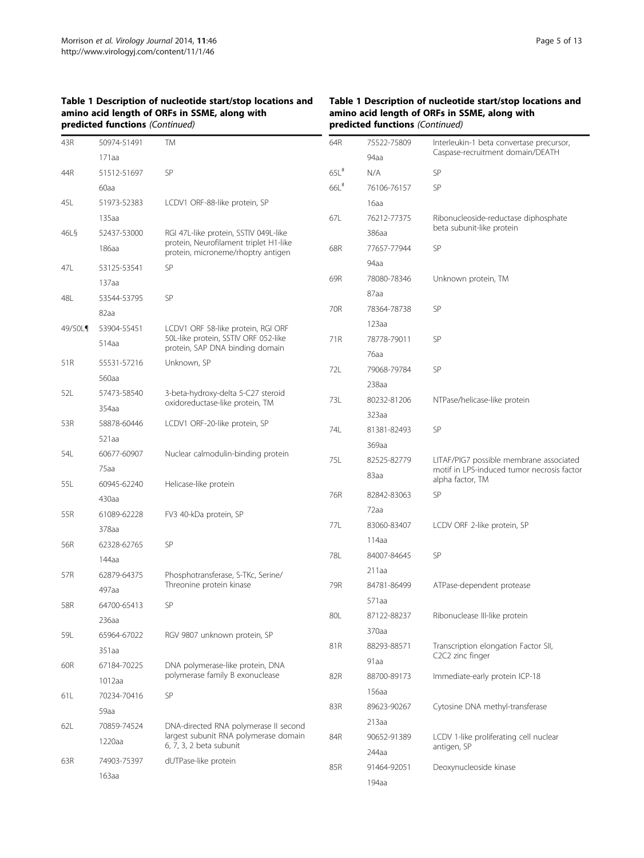# Table 1 Description of nucleotide start/stop locations and amino acid length of ORFs in SSME, along with predicted functions (Continued)

# Table 1 Description of nucleotide start/stop locations and amino acid length of ORFs in SSME, along with predicted functions (Continued)

| 43R     | 50974-51491          | <b>TM</b>                                                                      | 64R                | 75522-75809 | Interleukin-1 beta convertase precursor,                       |
|---------|----------------------|--------------------------------------------------------------------------------|--------------------|-------------|----------------------------------------------------------------|
|         | 171aa                |                                                                                |                    | 94aa        | Caspase-recruitment domain/DEATH                               |
| 44R     | 51512-51697          | SP                                                                             | $65L$ <sup>#</sup> | N/A         | SP                                                             |
|         | 60aa                 |                                                                                | $66L$ #            | 76106-76157 | SP                                                             |
| 45L     | 51973-52383          | LCDV1 ORF-88-like protein, SP                                                  |                    | 16aa        |                                                                |
|         | 135aa                |                                                                                | 67L                | 76212-77375 | Ribonucleoside-reductase diphosphate                           |
| 46L§    | 52437-53000          | RGI 47L-like protein, SSTIV 049L-like                                          |                    | 386aa       | beta subunit-like protein                                      |
|         | 186aa                | protein, Neurofilament triplet H1-like<br>protein, microneme/rhoptry antigen   | 68R                | 77657-77944 | <b>SP</b>                                                      |
| 47L     | 53125-53541          | SP                                                                             |                    | 94aa        |                                                                |
|         | 137aa                |                                                                                | 69R                | 78080-78346 | Unknown protein, TM                                            |
| 48L     | 53544-53795          | SP                                                                             |                    | 87aa        |                                                                |
|         | 82aa                 |                                                                                | 70R                | 78364-78738 | SP                                                             |
| 49/50L¶ | 53904-55451          | LCDV1 ORF 58-like protein, RGI ORF                                             |                    | 123aa       |                                                                |
|         | 514aa                | 50L-like protein, SSTIV ORF 052-like                                           | 71R                | 78778-79011 | SP                                                             |
|         |                      | protein, SAP DNA binding domain                                                |                    | 76aa        |                                                                |
| 51R     | 55531-57216          | Unknown, SP                                                                    | 72L                | 79068-79784 | SP                                                             |
|         | 560aa                |                                                                                |                    | 238aa       |                                                                |
| 52L     | 57473-58540          | 3-beta-hydroxy-delta 5-C27 steroid<br>oxidoreductase-like protein, TM          | 73L                | 80232-81206 | NTPase/helicase-like protein                                   |
|         | 354aa                |                                                                                |                    | 323aa       |                                                                |
| 53R     | 58878-60446          | LCDV1 ORF-20-like protein, SP                                                  | 74L                | 81381-82493 | SP                                                             |
|         | 521aa                |                                                                                |                    | 369aa       |                                                                |
| 54L     | 60677-60907          | Nuclear calmodulin-binding protein                                             | 75L                | 82525-82779 | LITAF/PIG7 possible membrane associated                        |
|         | 75aa                 |                                                                                |                    | 83aa        | motif in LPS-induced tumor necrosis factor<br>alpha factor, TM |
| 55L     | 60945-62240          | Helicase-like protein                                                          | 76R                | 82842-83063 | SP                                                             |
|         | 430aa                |                                                                                |                    | 72aa        |                                                                |
| 55R     | 61089-62228          | FV3 40-kDa protein, SP                                                         | 77L                | 83060-83407 | LCDV ORF 2-like protein, SP                                    |
|         | 378aa                | SP                                                                             |                    | 114aa       |                                                                |
| 56R     | 62328-62765          |                                                                                | 78L                | 84007-84645 | SP                                                             |
|         | 144aa                | Phosphotransferase, S-TKc, Serine/                                             |                    | 211aa       |                                                                |
| 57R     | 62879-64375<br>497aa | Threonine protein kinase                                                       | 79R                | 84781-86499 | ATPase-dependent protease                                      |
|         |                      | SP                                                                             |                    | 571aa       |                                                                |
| 58R     | 64700-65413          |                                                                                | 80L                | 87122-88237 | Ribonuclease III-like protein                                  |
|         | 236aa                |                                                                                |                    | 370aa       |                                                                |
| 59L     | 65964-67022          | RGV 9807 unknown protein, SP                                                   | 81R                | 88293-88571 | Transcription elongation Factor SII,                           |
|         | 351aa                | DNA polymerase-like protein, DNA                                               |                    | 91aa        | C2C2 zinc finger                                               |
| 60R     | 67184-70225          | polymerase family B exonuclease                                                | 82R                | 88700-89173 | Immediate-early protein ICP-18                                 |
|         | 1012aa               |                                                                                |                    | 156aa       |                                                                |
| 61L     | 70234-70416          | SP                                                                             | 83R                | 89623-90267 | Cytosine DNA methyl-transferase                                |
|         | 59aa                 |                                                                                |                    | 213aa       |                                                                |
| 62L     | 70859-74524          | DNA-directed RNA polymerase II second<br>largest subunit RNA polymerase domain | 84R                | 90652-91389 | LCDV 1-like proliferating cell nuclear                         |
|         | 1220aa               | 6, 7, 3, 2 beta subunit                                                        |                    | 244аа       | antigen, SP                                                    |
| 63R     | 74903-75397          | dUTPase-like protein                                                           | 85R                | 91464-92051 | Deoxynucleoside kinase                                         |
|         | 163aa                |                                                                                |                    | 194aa       |                                                                |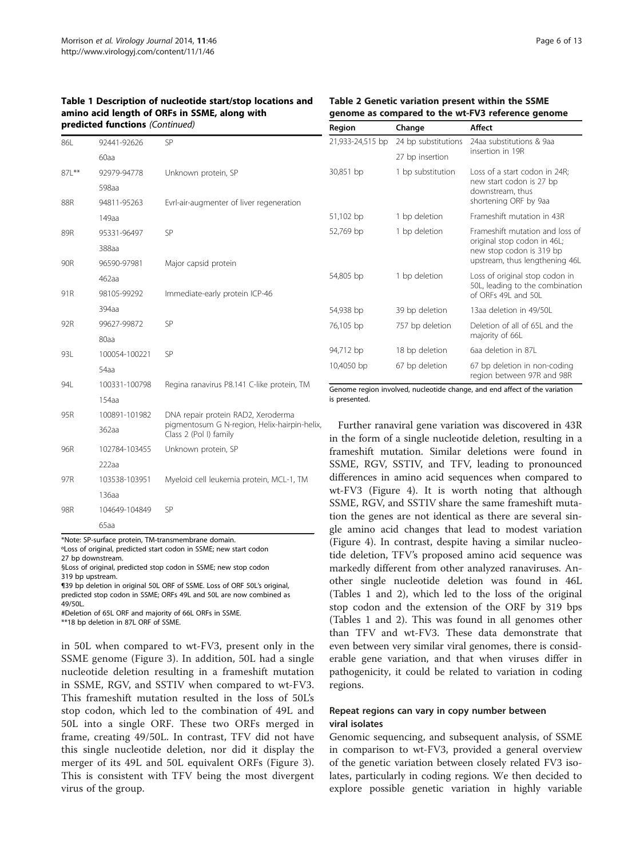<span id="page-5-0"></span>

| Table 1 Description of nucleotide start/stop locations and |
|------------------------------------------------------------|
| amino acid length of ORFs in SSME, along with              |
| <b>predicted functions</b> (Continued)                     |

# Table 2 Genetic variation present within the SSME genome as compared to the wt-FV3 reference genome

Region Change Affect

| 86L   | 92441-92626      | SP                                                                     | 21,93                         |
|-------|------------------|------------------------------------------------------------------------|-------------------------------|
|       | 60aa             |                                                                        |                               |
| 87L** | 92979-94778      | Unknown protein, SP                                                    | 30,85                         |
|       | 598aa            |                                                                        |                               |
| 88R   | 94811-95263      | Evrl-air-augmenter of liver regeneration                               |                               |
|       | 149aa            |                                                                        | 51,10                         |
| 89R   | 95331-96497      | SP                                                                     | 52,76                         |
|       | 388aa            |                                                                        |                               |
| 90R   | 96590-97981      | Major capsid protein                                                   |                               |
|       | 462aa            |                                                                        | 54,80                         |
| 91R   | 98105-99292      | Immediate-early protein ICP-46                                         |                               |
|       | 394aa            |                                                                        | 54,93                         |
| 92R   | 99627-99872      | SP                                                                     | 76,10                         |
|       | 80aa             |                                                                        |                               |
| 93L   | 100054-100221    | SP                                                                     | 94,71                         |
|       | 54a <sub>a</sub> |                                                                        | 10,40                         |
| 94L   | 100331-100798    | Regina ranavirus P8.141 C-like protein, TM                             | Geno                          |
|       | 154aa            |                                                                        | is pre                        |
| 95R   | 100891-101982    | DNA repair protein RAD2, Xeroderma                                     |                               |
|       | 362aa            | pigmentosum G N-region, Helix-hairpin-helix,<br>Class 2 (Pol I) family | in tl                         |
| 96R   | 102784-103455    | Unknown protein, SP                                                    | fran                          |
|       | 222aa            |                                                                        | <b>SSN</b>                    |
| 97R   | 103538-103951    | Myeloid cell leukemia protein, MCL-1, TM                               | diffe                         |
|       | 136aa            |                                                                        | wt-l                          |
| 98R   | 104649-104849    | SP                                                                     | <b>SSN</b>                    |
|       | 65aa             |                                                                        | tion<br>$\alpha$ <sub>0</sub> |

\*Note: SP-surface protein, TM-transmembrane domain.

ºLoss of original, predicted start codon in SSME; new start codon 27 bp downstream.

§Loss of original, predicted stop codon in SSME; new stop codon

319 bp upstream.

¶39 bp deletion in original 50L ORF of SSME. Loss of ORF 50L's original, predicted stop codon in SSME; ORFs 49L and 50L are now combined as 49/50L.

#Deletion of 65L ORF and majority of 66L ORFs in SSME.

\*\*18 bp deletion in 87L ORF of SSME.

in 50L when compared to wt-FV3, present only in the SSME genome (Figure [3](#page-6-0)). In addition, 50L had a single nucleotide deletion resulting in a frameshift mutation in SSME, RGV, and SSTIV when compared to wt-FV3. This frameshift mutation resulted in the loss of 50L's stop codon, which led to the combination of 49L and 50L into a single ORF. These two ORFs merged in frame, creating 49/50L. In contrast, TFV did not have this single nucleotide deletion, nor did it display the merger of its 49L and 50L equivalent ORFs (Figure [3](#page-6-0)). This is consistent with TFV being the most divergent virus of the group.

| 21,933-24,515 bp | 24 bp substitutions | 24aa substitutions & 9aa                                                                                                     |
|------------------|---------------------|------------------------------------------------------------------------------------------------------------------------------|
|                  | 27 bp insertion     | insertion in 19R                                                                                                             |
| 30,851 bp        | 1 bp substitution   | Loss of a start codon in 24R;<br>new start codon is 27 bp<br>downstream, thus<br>shortening ORF by 9aa                       |
| 51,102 bp        | 1 bp deletion       | Frameshift mutation in 43R                                                                                                   |
| 52,769 bp        | 1 bp deletion       | Frameshift mutation and loss of<br>original stop codon in 46L;<br>new stop codon is 319 bp<br>upstream, thus lengthening 46L |
| 54,805 bp        | 1 bp deletion       | Loss of original stop codon in<br>50L, leading to the combination<br>of OREs 49L and 50L                                     |
| 54,938 bp        | 39 bp deletion      | 13aa deletion in 49/50L                                                                                                      |
| 76,105 bp        | 757 bp deletion     | Deletion of all of 65L and the<br>majority of 66L                                                                            |
| 94,712 bp        | 18 bp deletion      | 6aa deletion in 87L                                                                                                          |
| 10,4050 bp       | 67 bp deletion      | 67 bp deletion in non-coding<br>region between 97R and 98R                                                                   |

me region involved, nucleotide change, and end affect of the variation esented.

Further ranaviral gene variation was discovered in 43R he form of a single nucleotide deletion, resulting in a neshift mutation. Similar deletions were found in AE, RGV, SSTIV, and TFV, leading to pronounced erences in amino acid sequences when compared to FV3 (Figure [4](#page-7-0)). It is worth noting that although AE, RGV, and SSTIV share the same frameshift mutathe genes are not identical as there are several single amino acid changes that lead to modest variation (Figure [4\)](#page-7-0). In contrast, despite having a similar nucleotide deletion, TFV's proposed amino acid sequence was markedly different from other analyzed ranaviruses. Another single nucleotide deletion was found in 46L (Tables [1](#page-3-0) and 2), which led to the loss of the original stop codon and the extension of the ORF by 319 bps (Tables [1](#page-3-0) and 2). This was found in all genomes other than TFV and wt-FV3. These data demonstrate that even between very similar viral genomes, there is considerable gene variation, and that when viruses differ in pathogenicity, it could be related to variation in coding regions.

# Repeat regions can vary in copy number between viral isolates

Genomic sequencing, and subsequent analysis, of SSME in comparison to wt-FV3, provided a general overview of the genetic variation between closely related FV3 isolates, particularly in coding regions. We then decided to explore possible genetic variation in highly variable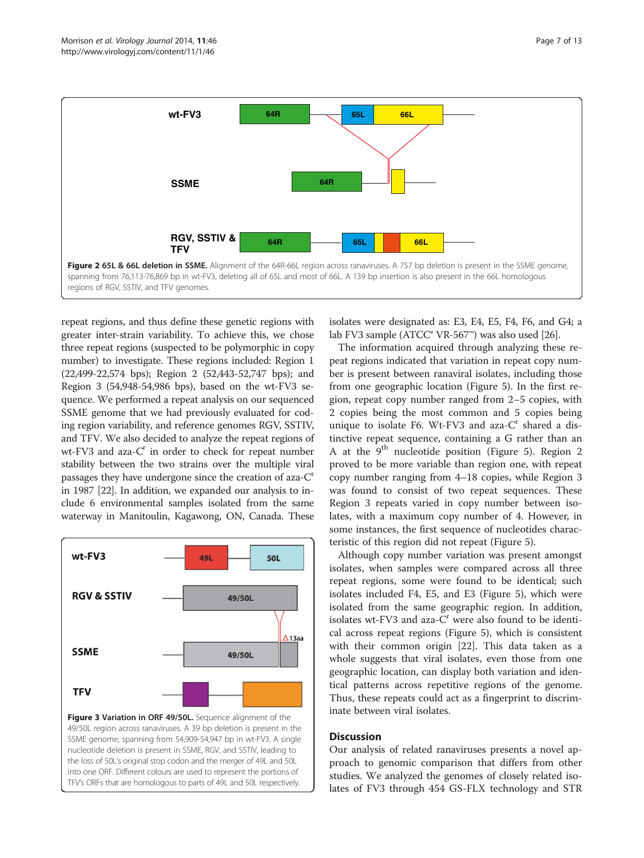<span id="page-6-0"></span>

repeat regions, and thus define these genetic regions with greater inter-strain variability. To achieve this, we chose three repeat regions (suspected to be polymorphic in copy number) to investigate. These regions included: Region 1 (22,499-22,574 bps); Region 2 (52,443-52,747 bps); and Region 3 (54,948-54,986 bps), based on the wt-FV3 sequence. We performed a repeat analysis on our sequenced SSME genome that we had previously evaluated for coding region variability, and reference genomes RGV, SSTIV, and TFV. We also decided to analyze the repeat regions of  $wt$ -FV3 and aza- $C<sup>r</sup>$  in order to check for repeat number stability between the two strains over the multiple viral passages they have undergone since the creation of aza-C<sup>r</sup> in 1987 [\[22\]](#page-11-0). In addition, we expanded our analysis to include 6 environmental samples isolated from the same waterway in Manitoulin, Kagawong, ON, Canada. These



isolates were designated as: E3, E4, E5, F4, F6, and G4; a lab FV3 sample (ATCC® VR-567™) was also used [[26](#page-11-0)].

The information acquired through analyzing these repeat regions indicated that variation in repeat copy number is present between ranaviral isolates, including those from one geographic location (Figure [5](#page-7-0)). In the first region, repeat copy number ranged from 2–5 copies, with 2 copies being the most common and 5 copies being unique to isolate F6. Wt-FV3 and aza- $C<sup>r</sup>$  shared a distinctive repeat sequence, containing a G rather than an A at the  $9<sup>th</sup>$  nucleotide position (Figure [5\)](#page-7-0). Region 2 proved to be more variable than region one, with repeat copy number ranging from 4–18 copies, while Region 3 was found to consist of two repeat sequences. These Region 3 repeats varied in copy number between isolates, with a maximum copy number of 4. However, in some instances, the first sequence of nucleotides characteristic of this region did not repeat (Figure [5](#page-7-0)).

Although copy number variation was present amongst isolates, when samples were compared across all three repeat regions, some were found to be identical; such isolates included F4, E5, and E3 (Figure [5](#page-7-0)), which were isolated from the same geographic region. In addition, isolates wt-FV3 and aza- $C<sup>r</sup>$  were also found to be identical across repeat regions (Figure [5\)](#page-7-0), which is consistent with their common origin [[22](#page-11-0)]. This data taken as a whole suggests that viral isolates, even those from one geographic location, can display both variation and identical patterns across repetitive regions of the genome. Thus, these repeats could act as a fingerprint to discriminate between viral isolates.

# **Discussion**

Our analysis of related ranaviruses presents a novel approach to genomic comparison that differs from other studies. We analyzed the genomes of closely related isolates of FV3 through 454 GS-FLX technology and STR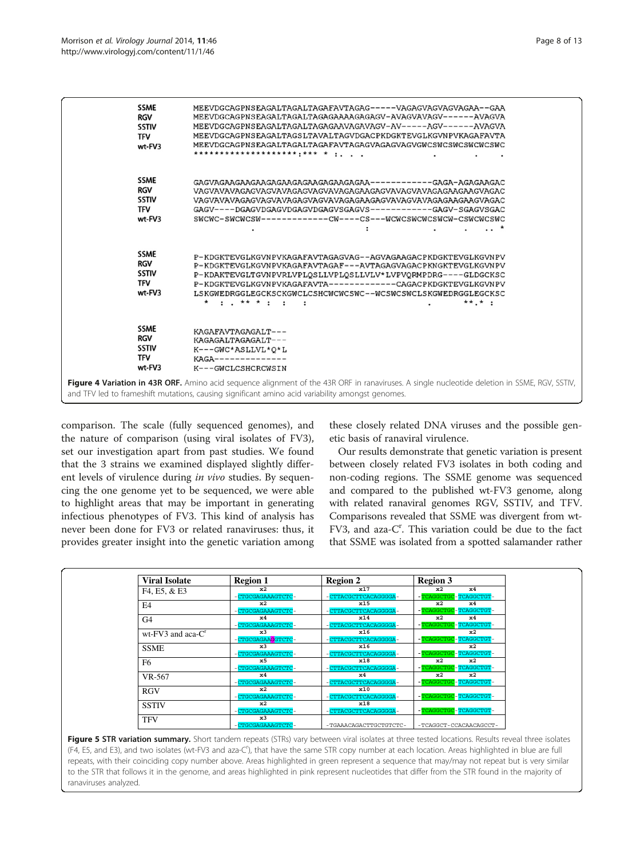<span id="page-7-0"></span>

comparison. The scale (fully sequenced genomes), and the nature of comparison (using viral isolates of FV3), set our investigation apart from past studies. We found that the 3 strains we examined displayed slightly different levels of virulence during in vivo studies. By sequencing the one genome yet to be sequenced, we were able to highlight areas that may be important in generating infectious phenotypes of FV3. This kind of analysis has never been done for FV3 or related ranaviruses: thus, it provides greater insight into the genetic variation among

these closely related DNA viruses and the possible genetic basis of ranaviral virulence.

Our results demonstrate that genetic variation is present between closely related FV3 isolates in both coding and non-coding regions. The SSME genome was sequenced and compared to the published wt-FV3 genome, along with related ranaviral genomes RGV, SSTIV, and TFV. Comparisons revealed that SSME was divergent from wt-FV3, and aza-C<sup>r</sup>. This variation could be due to the fact that SSME was isolated from a spotted salamander rather

| <b>Viral Isolate</b>    | <b>Region 1</b>   | <b>Region 2</b>        | <b>Region 3</b>        |  |
|-------------------------|-------------------|------------------------|------------------------|--|
| F4, E5, & E3            | x2                | x17                    | $\times 4$<br>x2       |  |
|                         | CTGCGAGAAAGTCTC-  | CTTACGCTTCACAGGGGA-    | -TCAGGCTGC-TCAGGCTGT-  |  |
| E4                      | x2                | x15                    | x2<br>$\times 4$       |  |
|                         | CTGCGAGAAAGTCTC-  | CTTACGCTTCACAGGGGA-    | -TCAGGCTGC-TCAGGCTGT-  |  |
| G <sub>4</sub>          | $\times 4$        | x14                    | x2<br>$\times 4$       |  |
|                         | -CTGCGAGAAAGTCTC- | CTTACGCTTCACAGGGGA-    | -TCAGGCTGC-TCAGGCTGT-  |  |
| $wt$ -FV3 and aca- $Cr$ | x3                | x16                    | $\mathbf{x}^2$         |  |
|                         | CTGCGAGAAGGTCTC-  | CTTACGCTTCACAGGGGA-    | -TCAGGCTGC-TCAGGCTGT-  |  |
| <b>SSME</b>             | x3                | x16                    | $\mathbf{x}^2$         |  |
|                         | CTGCGAGAAAGTCTC-  | CTTACGCTTCACAGGGGA-    | -TCAGGCTGC-TCAGGCTGT-  |  |
| F <sub>6</sub>          | $\times$ 5        | x18                    | x2<br>x2               |  |
|                         | -CTGCGAGAAAGTCTC- | CTTACGCTTCACAGGGGA-    | -TCAGGCTGC-TCAGGCTGT-  |  |
| VR-567                  | $\times 4$        | $\times 4$             | $\mathbf{x}^2$<br>x2   |  |
|                         | CTGCGAGAAAGTCTC-  | CTTACGCTTCACAGGGGA-    | -TCAGGCTGC-TCAGGCTGT-  |  |
| <b>RGV</b>              | $\mathbf{x}^2$    | x10                    |                        |  |
|                         | -CTGCGAGAAAGTCTC- | CTTACGCTTCACAGGGGA-    | -TCAGGCTGC-TCAGGCTGT-  |  |
| <b>SSTIV</b>            | x2                | x18                    |                        |  |
|                         | -CTGCGAGAAAGTCTC- | - CTTACGCTTCACAGGGGA-  | -TCAGGCTGC-TCAGGCTGT-  |  |
| <b>TFV</b>              | x3                |                        |                        |  |
|                         | -CTGCGAGAAAGTCTC- | -TGAAACAGACTTGCTGTCTC- | -TCAGGCT-CCACAACAGCCT- |  |

Figure 5 STR variation summary. Short tandem repeats (STRs) vary between viral isolates at three tested locations. Results reveal three isolates (F4, E5, and E3), and two isolates (wt-FV3 and aza-C<sup>r</sup>), that have the same STR copy number at each location. Areas highlighted in blue are full repeats, with their coinciding copy number above. Areas highlighted in green represent a sequence that may/may not repeat but is very similar to the STR that follows it in the genome, and areas highlighted in pink represent nucleotides that differ from the STR found in the majority of ranaviruses analyzed.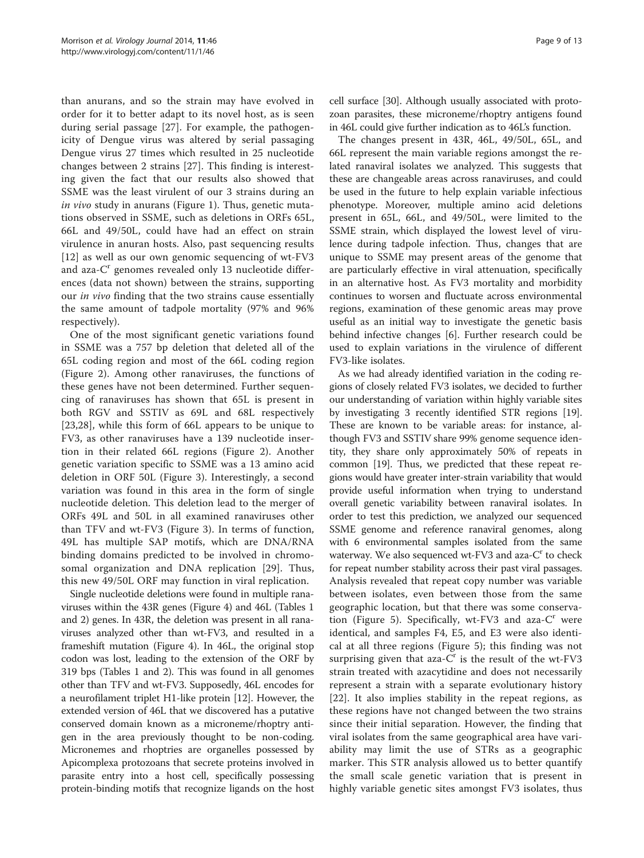than anurans, and so the strain may have evolved in order for it to better adapt to its novel host, as is seen during serial passage [[27\]](#page-11-0). For example, the pathogenicity of Dengue virus was altered by serial passaging Dengue virus 27 times which resulted in 25 nucleotide changes between 2 strains [[27\]](#page-11-0). This finding is interesting given the fact that our results also showed that SSME was the least virulent of our 3 strains during an in vivo study in anurans (Figure [1\)](#page-2-0). Thus, genetic mutations observed in SSME, such as deletions in ORFs 65L, 66L and 49/50L, could have had an effect on strain virulence in anuran hosts. Also, past sequencing results [[12\]](#page-11-0) as well as our own genomic sequencing of wt-FV3 and aza- $C<sup>r</sup>$  genomes revealed only 13 nucleotide differences (data not shown) between the strains, supporting our in vivo finding that the two strains cause essentially the same amount of tadpole mortality (97% and 96% respectively).

One of the most significant genetic variations found in SSME was a 757 bp deletion that deleted all of the 65L coding region and most of the 66L coding region (Figure [2\)](#page-6-0). Among other ranaviruses, the functions of these genes have not been determined. Further sequencing of ranaviruses has shown that 65L is present in both RGV and SSTIV as 69L and 68L respectively [[23,28](#page-11-0)], while this form of 66L appears to be unique to FV3, as other ranaviruses have a 139 nucleotide insertion in their related 66L regions (Figure [2](#page-6-0)). Another genetic variation specific to SSME was a 13 amino acid deletion in ORF 50L (Figure [3](#page-6-0)). Interestingly, a second variation was found in this area in the form of single nucleotide deletion. This deletion lead to the merger of ORFs 49L and 50L in all examined ranaviruses other than TFV and wt-FV3 (Figure [3\)](#page-6-0). In terms of function, 49L has multiple SAP motifs, which are DNA/RNA binding domains predicted to be involved in chromosomal organization and DNA replication [[29\]](#page-11-0). Thus, this new 49/50L ORF may function in viral replication.

Single nucleotide deletions were found in multiple ranaviruses within the 43R genes (Figure [4\)](#page-7-0) and 46L (Tables [1](#page-3-0) and [2](#page-5-0)) genes. In 43R, the deletion was present in all ranaviruses analyzed other than wt-FV3, and resulted in a frameshift mutation (Figure [4](#page-7-0)). In 46L, the original stop codon was lost, leading to the extension of the ORF by 319 bps (Tables [1](#page-3-0) and [2\)](#page-5-0). This was found in all genomes other than TFV and wt-FV3. Supposedly, 46L encodes for a neurofilament triplet H1-like protein [\[12\]](#page-11-0). However, the extended version of 46L that we discovered has a putative conserved domain known as a microneme/rhoptry antigen in the area previously thought to be non-coding. Micronemes and rhoptries are organelles possessed by Apicomplexa protozoans that secrete proteins involved in parasite entry into a host cell, specifically possessing protein-binding motifs that recognize ligands on the host

cell surface [[30](#page-11-0)]. Although usually associated with protozoan parasites, these microneme/rhoptry antigens found in 46L could give further indication as to 46L's function.

The changes present in 43R, 46L, 49/50L, 65L, and 66L represent the main variable regions amongst the related ranaviral isolates we analyzed. This suggests that these are changeable areas across ranaviruses, and could be used in the future to help explain variable infectious phenotype. Moreover, multiple amino acid deletions present in 65L, 66L, and 49/50L, were limited to the SSME strain, which displayed the lowest level of virulence during tadpole infection. Thus, changes that are unique to SSME may present areas of the genome that are particularly effective in viral attenuation, specifically in an alternative host. As FV3 mortality and morbidity continues to worsen and fluctuate across environmental regions, examination of these genomic areas may prove useful as an initial way to investigate the genetic basis behind infective changes [\[6\]](#page-11-0). Further research could be used to explain variations in the virulence of different FV3-like isolates.

As we had already identified variation in the coding regions of closely related FV3 isolates, we decided to further our understanding of variation within highly variable sites by investigating 3 recently identified STR regions [[19](#page-11-0)]. These are known to be variable areas: for instance, although FV3 and SSTIV share 99% genome sequence identity, they share only approximately 50% of repeats in common [\[19\]](#page-11-0). Thus, we predicted that these repeat regions would have greater inter-strain variability that would provide useful information when trying to understand overall genetic variability between ranaviral isolates. In order to test this prediction, we analyzed our sequenced SSME genome and reference ranaviral genomes, along with 6 environmental samples isolated from the same waterway. We also sequenced wt-FV3 and aza- $C<sup>r</sup>$  to check for repeat number stability across their past viral passages. Analysis revealed that repeat copy number was variable between isolates, even between those from the same geographic location, but that there was some conserva-tion (Figure [5](#page-7-0)). Specifically, wt-FV3 and aza- $C<sup>r</sup>$  were identical, and samples F4, E5, and E3 were also identical at all three regions (Figure [5\)](#page-7-0); this finding was not surprising given that aza- $C<sup>r</sup>$  is the result of the wt-FV3 strain treated with azacytidine and does not necessarily represent a strain with a separate evolutionary history [[22](#page-11-0)]. It also implies stability in the repeat regions, as these regions have not changed between the two strains since their initial separation. However, the finding that viral isolates from the same geographical area have variability may limit the use of STRs as a geographic marker. This STR analysis allowed us to better quantify the small scale genetic variation that is present in highly variable genetic sites amongst FV3 isolates, thus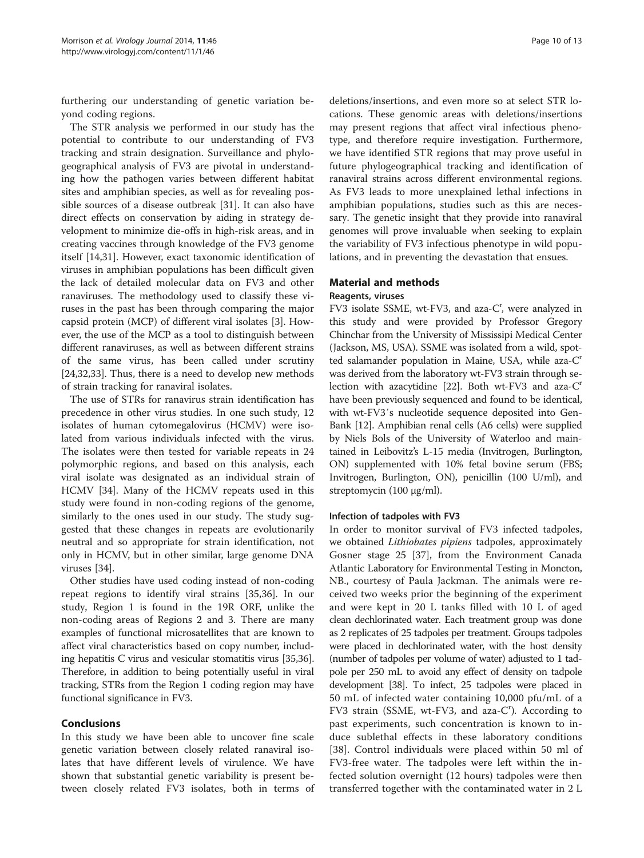furthering our understanding of genetic variation beyond coding regions.

The STR analysis we performed in our study has the potential to contribute to our understanding of FV3 tracking and strain designation. Surveillance and phylogeographical analysis of FV3 are pivotal in understanding how the pathogen varies between different habitat sites and amphibian species, as well as for revealing possible sources of a disease outbreak [[31](#page-11-0)]. It can also have direct effects on conservation by aiding in strategy development to minimize die-offs in high-risk areas, and in creating vaccines through knowledge of the FV3 genome itself [[14](#page-11-0),[31](#page-11-0)]. However, exact taxonomic identification of viruses in amphibian populations has been difficult given the lack of detailed molecular data on FV3 and other ranaviruses. The methodology used to classify these viruses in the past has been through comparing the major capsid protein (MCP) of different viral isolates [\[3](#page-11-0)]. However, the use of the MCP as a tool to distinguish between different ranaviruses, as well as between different strains of the same virus, has been called under scrutiny [[24,32,33\]](#page-11-0). Thus, there is a need to develop new methods of strain tracking for ranaviral isolates.

The use of STRs for ranavirus strain identification has precedence in other virus studies. In one such study, 12 isolates of human cytomegalovirus (HCMV) were isolated from various individuals infected with the virus. The isolates were then tested for variable repeats in 24 polymorphic regions, and based on this analysis, each viral isolate was designated as an individual strain of HCMV [\[34](#page-12-0)]. Many of the HCMV repeats used in this study were found in non-coding regions of the genome, similarly to the ones used in our study. The study suggested that these changes in repeats are evolutionarily neutral and so appropriate for strain identification, not only in HCMV, but in other similar, large genome DNA viruses [[34\]](#page-12-0).

Other studies have used coding instead of non-coding repeat regions to identify viral strains [\[35,36\]](#page-12-0). In our study, Region 1 is found in the 19R ORF, unlike the non-coding areas of Regions 2 and 3. There are many examples of functional microsatellites that are known to affect viral characteristics based on copy number, including hepatitis C virus and vesicular stomatitis virus [\[35,36](#page-12-0)]. Therefore, in addition to being potentially useful in viral tracking, STRs from the Region 1 coding region may have functional significance in FV3.

# Conclusions

In this study we have been able to uncover fine scale genetic variation between closely related ranaviral isolates that have different levels of virulence. We have shown that substantial genetic variability is present between closely related FV3 isolates, both in terms of

deletions/insertions, and even more so at select STR locations. These genomic areas with deletions/insertions may present regions that affect viral infectious phenotype, and therefore require investigation. Furthermore, we have identified STR regions that may prove useful in future phylogeographical tracking and identification of ranaviral strains across different environmental regions. As FV3 leads to more unexplained lethal infections in amphibian populations, studies such as this are necessary. The genetic insight that they provide into ranaviral genomes will prove invaluable when seeking to explain the variability of FV3 infectious phenotype in wild populations, and in preventing the devastation that ensues.

# Material and methods

#### Reagents, viruses

FV3 isolate SSME, wt-FV3, and aza-C', were analyzed in this study and were provided by Professor Gregory Chinchar from the University of Mississipi Medical Center (Jackson, MS, USA). SSME was isolated from a wild, spotted salamander population in Maine, USA, while aza- $C<sup>r</sup>$ was derived from the laboratory wt-FV3 strain through se-lection with azacytidine [[22](#page-11-0)]. Both wt-FV3 and aza- $C<sup>r</sup>$ have been previously sequenced and found to be identical, with wt-FV3′s nucleotide sequence deposited into Gen-Bank [\[12\]](#page-11-0). Amphibian renal cells (A6 cells) were supplied by Niels Bols of the University of Waterloo and maintained in Leibovitz's L-15 media (Invitrogen, Burlington, ON) supplemented with 10% fetal bovine serum (FBS; Invitrogen, Burlington, ON), penicillin (100 U/ml), and streptomycin (100 μg/ml).

# Infection of tadpoles with FV3

In order to monitor survival of FV3 infected tadpoles, we obtained *Lithiobates pipiens* tadpoles, approximately Gosner stage 25 [[37](#page-12-0)], from the Environment Canada Atlantic Laboratory for Environmental Testing in Moncton, NB., courtesy of Paula Jackman. The animals were received two weeks prior the beginning of the experiment and were kept in 20 L tanks filled with 10 L of aged clean dechlorinated water. Each treatment group was done as 2 replicates of 25 tadpoles per treatment. Groups tadpoles were placed in dechlorinated water, with the host density (number of tadpoles per volume of water) adjusted to 1 tadpole per 250 mL to avoid any effect of density on tadpole development [[38\]](#page-12-0). To infect, 25 tadpoles were placed in 50 mL of infected water containing 10,000 pfu/mL of a FV3 strain (SSME, wt-FV3, and aza-C'). According to past experiments, such concentration is known to induce sublethal effects in these laboratory conditions [[38\]](#page-12-0). Control individuals were placed within 50 ml of FV3-free water. The tadpoles were left within the infected solution overnight (12 hours) tadpoles were then transferred together with the contaminated water in 2 L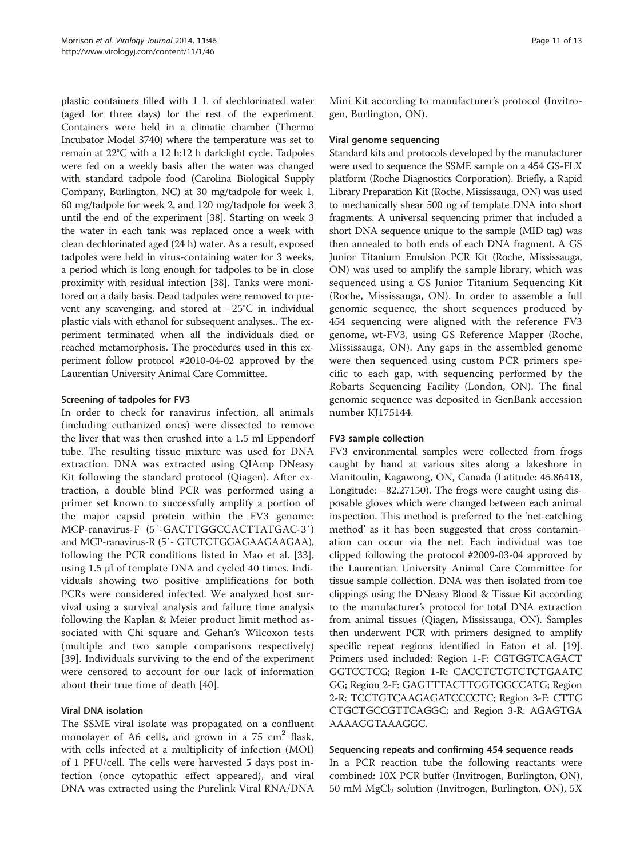plastic containers filled with 1 L of dechlorinated water (aged for three days) for the rest of the experiment. Containers were held in a climatic chamber (Thermo Incubator Model 3740) where the temperature was set to remain at 22°C with a 12 h:12 h dark:light cycle. Tadpoles were fed on a weekly basis after the water was changed with standard tadpole food (Carolina Biological Supply Company, Burlington, NC) at 30 mg/tadpole for week 1, 60 mg/tadpole for week 2, and 120 mg/tadpole for week 3 until the end of the experiment [[38\]](#page-12-0). Starting on week 3 the water in each tank was replaced once a week with clean dechlorinated aged (24 h) water. As a result, exposed tadpoles were held in virus-containing water for 3 weeks, a period which is long enough for tadpoles to be in close proximity with residual infection [\[38](#page-12-0)]. Tanks were monitored on a daily basis. Dead tadpoles were removed to prevent any scavenging, and stored at −25°C in individual plastic vials with ethanol for subsequent analyses.. The experiment terminated when all the individuals died or reached metamorphosis. The procedures used in this experiment follow protocol #2010-04-02 approved by the Laurentian University Animal Care Committee.

# Screening of tadpoles for FV3

In order to check for ranavirus infection, all animals (including euthanized ones) were dissected to remove the liver that was then crushed into a 1.5 ml Eppendorf tube. The resulting tissue mixture was used for DNA extraction. DNA was extracted using QIAmp DNeasy Kit following the standard protocol (Qiagen). After extraction, a double blind PCR was performed using a primer set known to successfully amplify a portion of the major capsid protein within the FV3 genome: MCP-ranavirus-F (5′-GACTTGGCCACTTATGAC-3′) and MCP-ranavirus-R (5′- GTCTCTGGAGAAGAAGAA), following the PCR conditions listed in Mao et al. [\[33](#page-11-0)], using 1.5 μl of template DNA and cycled 40 times. Individuals showing two positive amplifications for both PCRs were considered infected. We analyzed host survival using a survival analysis and failure time analysis following the Kaplan & Meier product limit method associated with Chi square and Gehan's Wilcoxon tests (multiple and two sample comparisons respectively) [[39\]](#page-12-0). Individuals surviving to the end of the experiment were censored to account for our lack of information about their true time of death [\[40](#page-12-0)].

# Viral DNA isolation

The SSME viral isolate was propagated on a confluent monolayer of A6 cells, and grown in a  $75 \text{ cm}^2$  flask, with cells infected at a multiplicity of infection (MOI) of 1 PFU/cell. The cells were harvested 5 days post infection (once cytopathic effect appeared), and viral DNA was extracted using the Purelink Viral RNA/DNA

Mini Kit according to manufacturer's protocol (Invitrogen, Burlington, ON).

#### Viral genome sequencing

Standard kits and protocols developed by the manufacturer were used to sequence the SSME sample on a 454 GS-FLX platform (Roche Diagnostics Corporation). Briefly, a Rapid Library Preparation Kit (Roche, Mississauga, ON) was used to mechanically shear 500 ng of template DNA into short fragments. A universal sequencing primer that included a short DNA sequence unique to the sample (MID tag) was then annealed to both ends of each DNA fragment. A GS Junior Titanium Emulsion PCR Kit (Roche, Mississauga, ON) was used to amplify the sample library, which was sequenced using a GS Junior Titanium Sequencing Kit (Roche, Mississauga, ON). In order to assemble a full genomic sequence, the short sequences produced by 454 sequencing were aligned with the reference FV3 genome, wt-FV3, using GS Reference Mapper (Roche, Mississauga, ON). Any gaps in the assembled genome were then sequenced using custom PCR primers specific to each gap, with sequencing performed by the Robarts Sequencing Facility (London, ON). The final genomic sequence was deposited in GenBank accession number KJ175144.

# FV3 sample collection

FV3 environmental samples were collected from frogs caught by hand at various sites along a lakeshore in Manitoulin, Kagawong, ON, Canada (Latitude: 45.86418, Longitude: −82.27150). The frogs were caught using disposable gloves which were changed between each animal inspection. This method is preferred to the 'net-catching method' as it has been suggested that cross contamination can occur via the net. Each individual was toe clipped following the protocol #2009-03-04 approved by the Laurentian University Animal Care Committee for tissue sample collection. DNA was then isolated from toe clippings using the DNeasy Blood & Tissue Kit according to the manufacturer's protocol for total DNA extraction from animal tissues (Qiagen, Mississauga, ON). Samples then underwent PCR with primers designed to amplify specific repeat regions identified in Eaton et al. [[19](#page-11-0)]. Primers used included: Region 1-F: CGTGGTCAGACT GGTCCTCG; Region 1-R: CACCTCTGTCTCTGAATC GG; Region 2-F: GAGTTTACTTGGTGGCCATG; Region 2-R: TCCTGTCAAGAGATCCCCTC; Region 3-F: CTTG CTGCTGCCGTTCAGGC; and Region 3-R: AGAGTGA AAAAGGTAAAGGC.

# Sequencing repeats and confirming 454 sequence reads

In a PCR reaction tube the following reactants were combined: 10X PCR buffer (Invitrogen, Burlington, ON), 50 mM  $MgCl<sub>2</sub>$  solution (Invitrogen, Burlington, ON), 5X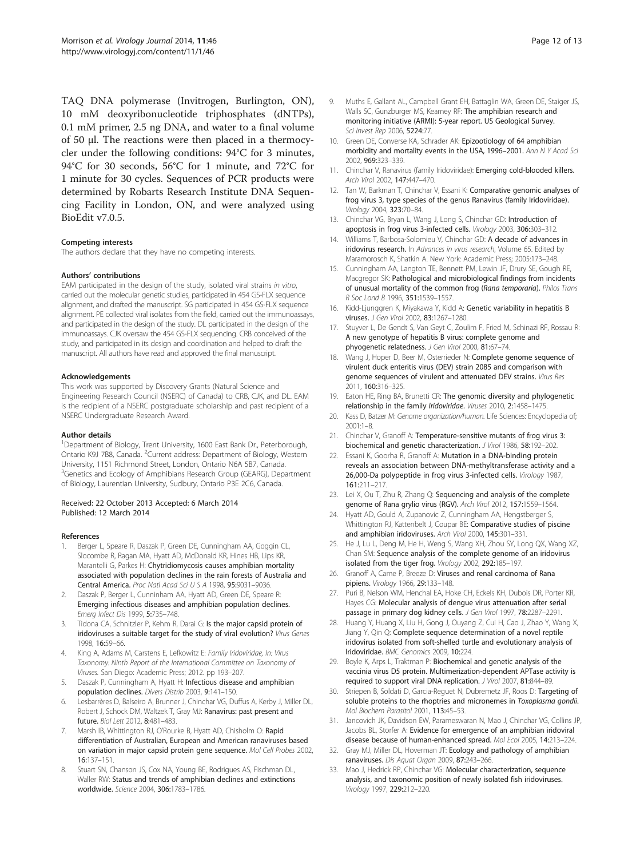<span id="page-11-0"></span>TAQ DNA polymerase (Invitrogen, Burlington, ON), 10 mM deoxyribonucleotide triphosphates (dNTPs), 0.1 mM primer, 2.5 ng DNA, and water to a final volume of 50 μl. The reactions were then placed in a thermocycler under the following conditions: 94°C for 3 minutes, 94°C for 30 seconds, 56°C for 1 minute, and 72°C for 1 minute for 30 cycles. Sequences of PCR products were determined by Robarts Research Institute DNA Sequencing Facility in London, ON, and were analyzed using BioEdit v7.0.5.

#### Competing interests

The authors declare that they have no competing interests.

#### Authors' contributions

EAM participated in the design of the study, isolated viral strains in vitro, carried out the molecular genetic studies, participated in 454 GS-FLX sequence alignment, and drafted the manuscript. SG participated in 454 GS-FLX sequence alignment. PE collected viral isolates from the field, carried out the immunoassays, and participated in the design of the study. DL participated in the design of the immunoassays. CJK oversaw the 454 GS-FLX sequencing. CRB conceived of the study, and participated in its design and coordination and helped to draft the manuscript. All authors have read and approved the final manuscript.

#### Acknowledgements

This work was supported by Discovery Grants (Natural Science and Engineering Research Council (NSERC) of Canada) to CRB, CJK, and DL. EAM is the recipient of a NSERC postgraduate scholarship and past recipient of a NSERC Undergraduate Research Award.

#### Author details

<sup>1</sup>Department of Biology, Trent University, 1600 East Bank Dr., Peterborough, Ontario K9J 7B8, Canada. <sup>2</sup>Current address: Department of Biology, Western University, 1151 Richmond Street, London, Ontario N6A 5B7, Canada. <sup>3</sup> Genetics and Ecology of Amphibians Research Group (GEARG), Department of Biology, Laurentian University, Sudbury, Ontario P3E 2C6, Canada.

#### Received: 22 October 2013 Accepted: 6 March 2014 Published: 12 March 2014

#### References

- Berger L, Speare R, Daszak P, Green DE, Cunningham AA, Goggin CL, Slocombe R, Ragan MA, Hyatt AD, McDonald KR, Hines HB, Lips KR, Marantelli G, Parkes H: Chytridiomycosis causes amphibian mortality associated with population declines in the rain forests of Australia and Central America. Proc Natl Acad Sci U S A 1998, 95:9031–9036.
- 2. Daszak P, Berger L, Cunninham AA, Hyatt AD, Green DE, Speare R: Emerging infectious diseases and amphibian population declines. Emerg Infect Dis 1999, 5:735–748.
- Tidona CA, Schnitzler P, Kehm R, Darai G: Is the major capsid protein of iridoviruses a suitable target for the study of viral evolution? Virus Genes 1998, 16:59–66.
- 4. King A, Adams M, Carstens E, Lefkowitz E: Family Iridoviridae, In: Virus Taxonomy: Ninth Report of the International Committee on Taxonomy of Viruses. San Diego: Academic Press; 2012. pp 193–207.
- 5. Daszak P, Cunningham A, Hyatt H: Infectious disease and amphibian population declines. Divers Distrib 2003, 9:141–150.
- 6. Lesbarrères D, Balseiro A, Brunner J, Chinchar VG, Duffus A, Kerby J, Miller DL, Robert J, Schock DM, Waltzek T, Gray MJ: Ranavirus: past present and future. Biol Lett 2012, 8:481–483.
- Marsh IB, Whittington RJ, O'Rourke B, Hyatt AD, Chisholm O: Rapid differentiation of Australian, European and American ranaviruses based on variation in major capsid protein gene sequence. Mol Cell Probes 2002, 16:137–151.
- Stuart SN, Chanson JS, Cox NA, Young BE, Rodrigues AS, Fischman DL, Waller RW: Status and trends of amphibian declines and extinctions worldwide. Science 2004, 306:1783–1786.
- 9. Muths E, Gallant AL, Campbell Grant EH, Battaglin WA, Green DE, Staiger JS, Walls SC, Gunzburger MS, Kearney RF: The amphibian research and monitoring initiative (ARMI): 5-year report. US Geological Survey. Sci Invest Rep 2006, 5224:77.
- 10. Green DE, Converse KA, Schrader AK: Epizootiology of 64 amphibian morbidity and mortality events in the USA, 1996–2001. Ann N Y Acad Sci 2002, 969:323–339.
- 11. Chinchar V, Ranavirus (family Iridoviridae): Emerging cold-blooded killers. Arch Virol 2002, 147:447–470.
- 12. Tan W, Barkman T, Chinchar V, Essani K: Comparative genomic analyses of frog virus 3, type species of the genus Ranavirus (family Iridoviridae). Virology 2004, 323:70–84.
- 13. Chinchar VG, Bryan L, Wang J, Long S, Chinchar GD: Introduction of apoptosis in frog virus 3-infected cells. Virology 2003, 306:303–312.
- 14. Williams T, Barbosa-Solomieu V, Chinchar GD: A decade of advances in iridovirus research. In Advances in virus research, Volume 65. Edited by Maramorosch K, Shatkin A. New York: Academic Press; 2005:173–248.
- 15. Cunningham AA, Langton TE, Bennett PM, Lewin JF, Drury SE, Gough RE, Macgregor SK: Pathological and microbiological findings from incidents of unusual mortality of the common frog (Rana temporaria). Philos Trans R Soc Lond B 1996, 351:1539–1557.
- 16. Kidd-Ljunggren K, Miyakawa Y, Kidd A: Genetic variability in hepatitis B viruses. J Gen Virol 2002, 83:1267–1280.
- 17. Stuyver L, De Gendt S, Van Geyt C, Zoulim F, Fried M, Schinazi RF, Rossau R: A new genotype of hepatitis B virus: complete genome and phyogenetic relatedness. J Gen Virol 2000, 81:67–74.
- 18. Wang J, Hoper D, Beer M, Osterrieder N: Complete genome sequence of virulent duck enteritis virus (DEV) strain 2085 and comparison with genome sequences of virulent and attenuated DEV strains. Virus Res 2011, 160:316–325.
- 19. Eaton HE, Ring BA, Brunetti CR: The genomic diversity and phylogenetic relationship in the family Iridoviridae. Viruses 2010, 2:1458–1475.
- 20. Kass D, Batzer M: Genome organization/human. Life Sciences: Encyclopedia of; 2001:1–8.
- 21. Chinchar V, Granoff A: Temperature-sensitive mutants of frog virus 3: biochemical and genetic characterization. J Virol 1986, 58:192–202.
- 22. Essani K, Goorha R, Granoff A: Mutation in a DNA-binding protein reveals an association between DNA-methyltransferase activity and a 26,000-Da polypeptide in frog virus 3-infected cells. Virology 1987, 161:211–217.
- 23. Lei X, Ou T, Zhu R, Zhang Q: Sequencing and analysis of the complete genome of Rana grylio virus (RGV). Arch Virol 2012, 157:1559–1564.
- 24. Hyatt AD, Gould A, Zupanovic Z, Cunningham AA, Hengstberger S, Whittington RJ, Kattenbelt J, Coupar BE: Comparative studies of piscine and amphibian iridoviruses. Arch Virol 2000, 145:301–331.
- 25. He J, Lu L, Deng M, He H, Weng S, Wang XH, Zhou SY, Long QX, Wang XZ, Chan SM: Sequence analysis of the complete genome of an iridovirus isolated from the tiger frog. Virology 2002, 292:185–197.
- 26. Granoff A, Came P, Breeze D: Viruses and renal carcinoma of Rana pipiens. Virology 1966, 29:133–148.
- 27. Puri B, Nelson WM, Henchal EA, Hoke CH, Eckels KH, Dubois DR, Porter KR, Hayes CG: Molecular analysis of dengue virus attenuation after serial passage in primary dog kidney cells. J Gen Virol 1997, 78:2287-2291.
- 28. Huang Y, Huang X, Liu H, Gong J, Ouyang Z, Cui H, Cao J, Zhao Y, Wang X, Jiang Y, Qin Q: Complete sequence determination of a novel reptile iridovirus isolated from soft-shelled turtle and evolutionary analysis of Iridoviridae. BMC Genomics 2009, 10:224.
- 29. Boyle K, Arps L, Traktman P: Biochemical and genetic analysis of the vaccinia virus D5 protein. Multimerization-dependent APTase activity is required to support viral DNA replication. J Virol 2007, 81:844–89.
- Striepen B, Soldati D, Garcia-Reguet N, Dubremetz JF, Roos D: Targeting of soluble proteins to the rhoptries and micronemes in Toxoplasma gondii. Mol Biochem Parasitol 2001, 113:45–53.
- 31. Jancovich JK, Davidson EW, Parameswaran N, Mao J, Chinchar VG, Collins JP, Jacobs BL, Storfer A: Evidence for emergence of an amphibian iridoviral disease because of human-enhanced spread. Mol Ecol 2005, 14:213–224.
- 32. Gray MJ, Miller DL, Hoverman JT: Ecology and pathology of amphibian ranaviruses. Dis Aquat Organ 2009, 87:243–266.
- 33. Mao J, Hedrick RP, Chinchar VG: Molecular characterization, sequence analysis, and taxonomic position of newly isolated fish iridoviruses. Virology 1997, 229:212–220.